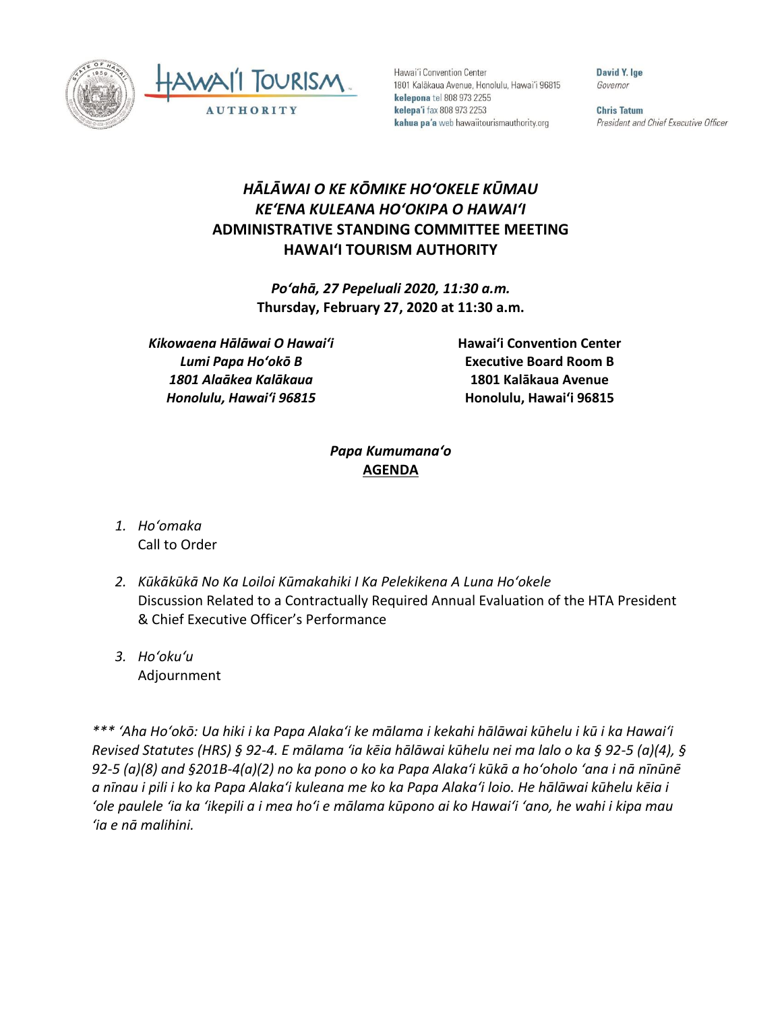

Hawai'i Convention Center 1801 Kalākaua Avenue, Honolulu, Hawai'i 96815 kelepona tel 808 973 2255 kelepa'i fax 808 973 2253 kahua pa'a web hawaiitourismauthority.org

David Y. Ige Governor

**Chris Tatum** President and Chief Executive Officer

## *HĀLĀWAI O KE KŌMIKE HOʻOKELE KŪMAU KEʻENA KULEANA HOʻOKIPA O HAWAIʻI* **ADMINISTRATIVE STANDING COMMITTEE MEETING HAWAI'I TOURISM AUTHORITY**

*Poʻahā, 27 Pepeluali 2020, 11:30 a.m.* **Thursday, February 27, 2020 at 11:30 a.m.**

*Kikowaena Hālāwai O Hawaiʻi Lumi Papa Hoʻokō B 1801 Alaākea Kalākaua Honolulu, Hawaiʻi 96815*

**Hawai'i Convention Center Executive Board Room B 1801 Kalākaua Avenue Honolulu, Hawai'i 96815**

## *Papa Kumumanaʻo* **AGENDA**

- *1. Hoʻomaka* Call to Order
- *2. Kūkākūkā No Ka Loiloi Kūmakahiki I Ka Pelekikena A Luna Hoʻokele* Discussion Related to a Contractually Required Annual Evaluation of the HTA President & Chief Executive Officer's Performance
- *3. Hoʻokuʻu* Adjournment

*\*\*\* ʻAha Hoʻokō: Ua hiki i ka Papa Alakaʻi ke mālama i kekahi hālāwai kūhelu i kū i ka Hawaiʻi Revised Statutes (HRS) § 92-4. E mālama ʻia kēia hālāwai kūhelu nei ma lalo o ka § 92-5 (a)(4), § 92-5 (a)(8) and §201B-4(a)(2) no ka pono o ko ka Papa Alakaʻi kūkā a hoʻoholo ʻana i nā nīnūnē a nīnau i pili i ko ka Papa Alakaʻi kuleana me ko ka Papa Alakaʻi loio. He hālāwai kūhelu kēia i ʻole paulele ʻia ka ʻikepili a i mea hoʻi e mālama kūpono ai ko Hawaiʻi ʻano, he wahi i kipa mau ʻia e nā malihini.*